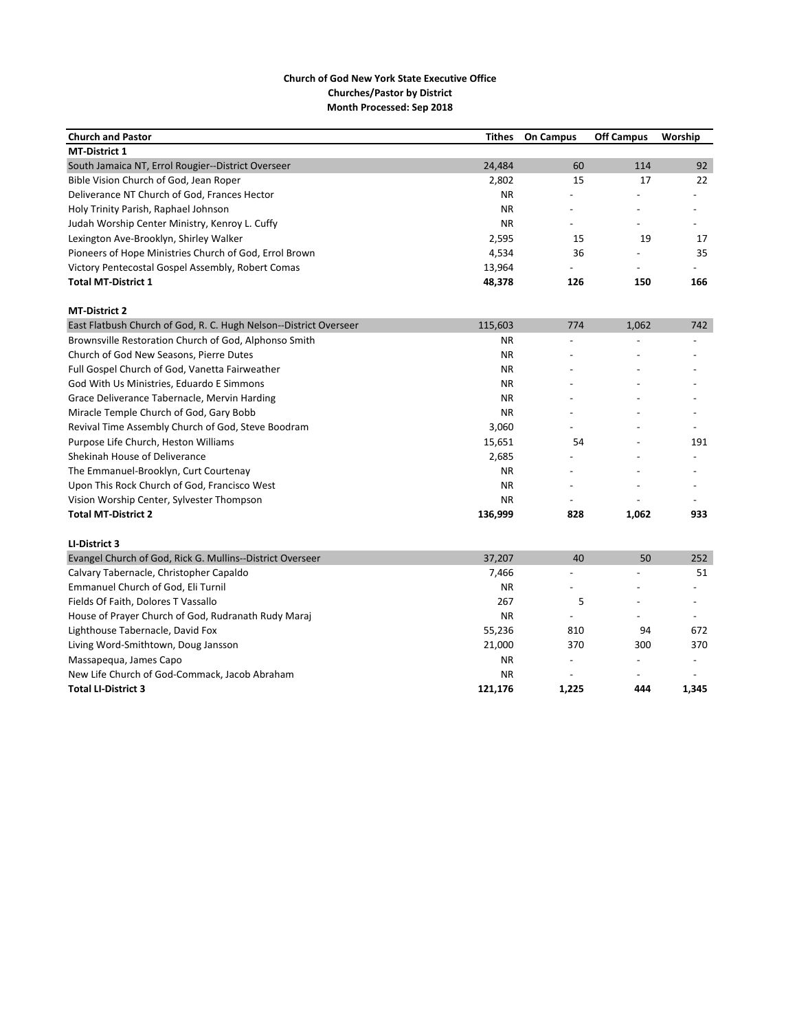| <b>Church and Pastor</b>                                          | Tithes    | <b>On Campus</b>         | <b>Off Campus</b>        | Worship                  |
|-------------------------------------------------------------------|-----------|--------------------------|--------------------------|--------------------------|
| <b>MT-District 1</b>                                              |           |                          |                          |                          |
| South Jamaica NT, Errol Rougier--District Overseer                | 24,484    | 60                       | 114                      | 92                       |
| Bible Vision Church of God, Jean Roper                            | 2,802     | 15                       | 17                       | 22                       |
| Deliverance NT Church of God, Frances Hector                      | ΝR        |                          |                          |                          |
| Holy Trinity Parish, Raphael Johnson                              | <b>NR</b> |                          |                          | $\overline{a}$           |
| Judah Worship Center Ministry, Kenroy L. Cuffy                    | <b>NR</b> | $\overline{\phantom{0}}$ | $\overline{\phantom{a}}$ | $\overline{\phantom{a}}$ |
| Lexington Ave-Brooklyn, Shirley Walker                            | 2,595     | 15                       | 19                       | 17                       |
| Pioneers of Hope Ministries Church of God, Errol Brown            | 4,534     | 36                       |                          | 35                       |
| Victory Pentecostal Gospel Assembly, Robert Comas                 | 13,964    |                          |                          |                          |
| <b>Total MT-District 1</b>                                        | 48,378    | 126                      | 150                      | 166                      |
| <b>MT-District 2</b>                                              |           |                          |                          |                          |
| East Flatbush Church of God, R. C. Hugh Nelson--District Overseer | 115,603   | 774                      | 1,062                    | 742                      |
| Brownsville Restoration Church of God, Alphonso Smith             | <b>NR</b> |                          |                          |                          |
| Church of God New Seasons, Pierre Dutes                           | <b>NR</b> |                          |                          |                          |
| Full Gospel Church of God, Vanetta Fairweather                    | <b>NR</b> |                          |                          |                          |
| God With Us Ministries, Eduardo E Simmons                         | ΝR        |                          |                          |                          |
| Grace Deliverance Tabernacle, Mervin Harding                      | NR.       | $\overline{\phantom{a}}$ |                          |                          |
| Miracle Temple Church of God, Gary Bobb                           | NR.       | $\overline{\phantom{a}}$ |                          |                          |
| Revival Time Assembly Church of God, Steve Boodram                | 3,060     |                          |                          |                          |
| Purpose Life Church, Heston Williams                              | 15,651    | 54                       |                          | 191                      |
| Shekinah House of Deliverance                                     | 2,685     |                          |                          |                          |
| The Emmanuel-Brooklyn, Curt Courtenay                             | <b>NR</b> |                          |                          |                          |
| Upon This Rock Church of God, Francisco West                      | <b>NR</b> |                          |                          |                          |
| Vision Worship Center, Sylvester Thompson                         | <b>NR</b> |                          |                          |                          |
| <b>Total MT-District 2</b>                                        | 136,999   | 828                      | 1,062                    | 933                      |
| LI-District 3                                                     |           |                          |                          |                          |
| Evangel Church of God, Rick G. Mullins--District Overseer         | 37,207    | 40                       | 50                       | 252                      |
| Calvary Tabernacle, Christopher Capaldo                           | 7,466     | $\overline{a}$           | $\overline{a}$           | 51                       |
| Emmanuel Church of God, Eli Turnil                                | NR.       | $\overline{\phantom{0}}$ | $\overline{\phantom{a}}$ | $\overline{a}$           |
| Fields Of Faith, Dolores T Vassallo                               | 267       | 5                        | $\overline{\phantom{a}}$ | $\overline{\phantom{a}}$ |
| House of Prayer Church of God, Rudranath Rudy Maraj               | <b>NR</b> | $\overline{a}$           | $\overline{a}$           | $\overline{a}$           |
| Lighthouse Tabernacle, David Fox                                  | 55,236    | 810                      | 94                       | 672                      |
| Living Word-Smithtown, Doug Jansson                               | 21,000    | 370                      | 300                      | 370                      |
| Massapequa, James Capo                                            | ΝR        | $\overline{a}$           | $\overline{a}$           | $\overline{a}$           |
| New Life Church of God-Commack, Jacob Abraham                     | <b>NR</b> |                          |                          |                          |
| <b>Total LI-District 3</b>                                        | 121,176   | 1,225                    | 444                      | 1,345                    |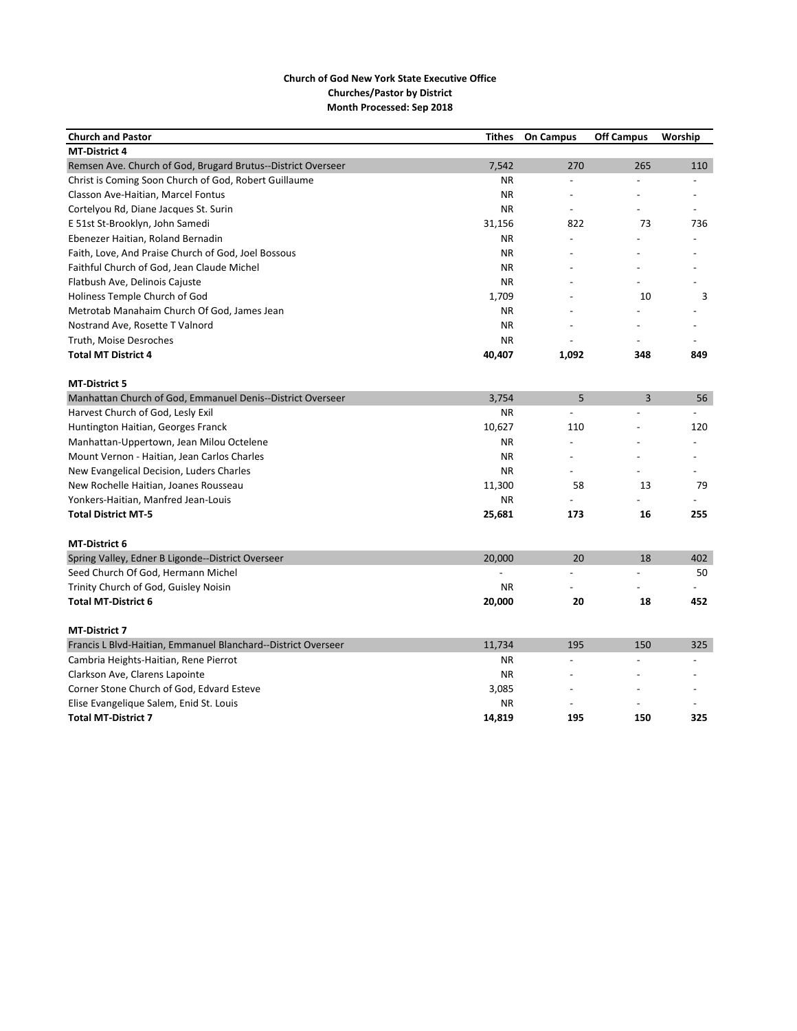| <b>Church and Pastor</b>                                      | <b>Tithes</b> | <b>On Campus</b> | <b>Off Campus</b>        | Worship |
|---------------------------------------------------------------|---------------|------------------|--------------------------|---------|
| <b>MT-District 4</b>                                          |               |                  |                          |         |
| Remsen Ave. Church of God, Brugard Brutus--District Overseer  | 7,542         | 270              | 265                      | 110     |
| Christ is Coming Soon Church of God, Robert Guillaume         | <b>NR</b>     | $\frac{1}{2}$    | $\overline{a}$           |         |
| Classon Ave-Haitian, Marcel Fontus                            | <b>NR</b>     |                  |                          |         |
| Cortelyou Rd, Diane Jacques St. Surin                         | <b>NR</b>     |                  |                          |         |
| E 51st St-Brooklyn, John Samedi                               | 31,156        | 822              | 73                       | 736     |
| Ebenezer Haitian, Roland Bernadin                             | <b>NR</b>     |                  |                          |         |
| Faith, Love, And Praise Church of God, Joel Bossous           | <b>NR</b>     |                  |                          |         |
| Faithful Church of God, Jean Claude Michel                    | ΝR            |                  |                          |         |
| Flatbush Ave, Delinois Cajuste                                | <b>NR</b>     |                  |                          |         |
| Holiness Temple Church of God                                 | 1,709         |                  | 10                       | 3       |
| Metrotab Manahaim Church Of God, James Jean                   | <b>NR</b>     |                  |                          |         |
| Nostrand Ave, Rosette T Valnord                               | ΝR            |                  |                          |         |
| Truth, Moise Desroches                                        | <b>NR</b>     |                  | $\overline{\phantom{a}}$ |         |
| <b>Total MT District 4</b>                                    | 40,407        | 1,092            | 348                      | 849     |
| <b>MT-District 5</b>                                          |               |                  |                          |         |
| Manhattan Church of God, Emmanuel Denis--District Overseer    | 3,754         | 5                | 3                        | 56      |
| Harvest Church of God, Lesly Exil                             | <b>NR</b>     |                  |                          |         |
| Huntington Haitian, Georges Franck                            | 10,627        | 110              |                          | 120     |
| Manhattan-Uppertown, Jean Milou Octelene                      | <b>NR</b>     |                  |                          |         |
| Mount Vernon - Haitian, Jean Carlos Charles                   | <b>NR</b>     |                  |                          |         |
| New Evangelical Decision, Luders Charles                      | <b>NR</b>     |                  |                          |         |
| New Rochelle Haitian, Joanes Rousseau                         | 11,300        | 58               | 13                       | 79      |
| Yonkers-Haitian, Manfred Jean-Louis                           | <b>NR</b>     |                  |                          |         |
| <b>Total District MT-5</b>                                    | 25,681        | 173              | 16                       | 255     |
| <b>MT-District 6</b>                                          |               |                  |                          |         |
| Spring Valley, Edner B Ligonde--District Overseer             | 20,000        | 20               | 18                       | 402     |
| Seed Church Of God, Hermann Michel                            |               |                  |                          | 50      |
| Trinity Church of God, Guisley Noisin                         | <b>NR</b>     |                  |                          |         |
| <b>Total MT-District 6</b>                                    | 20,000        | 20               | 18                       | 452     |
| <b>MT-District 7</b>                                          |               |                  |                          |         |
| Francis L Blvd-Haitian, Emmanuel Blanchard--District Overseer | 11,734        | 195              | 150                      | 325     |
| Cambria Heights-Haitian, Rene Pierrot                         | <b>NR</b>     |                  |                          |         |
| Clarkson Ave, Clarens Lapointe                                | <b>NR</b>     |                  |                          |         |
| Corner Stone Church of God, Edvard Esteve                     | 3,085         |                  |                          |         |
| Elise Evangelique Salem, Enid St. Louis                       | ΝR            |                  |                          |         |
| <b>Total MT-District 7</b>                                    | 14.819        | 195              | 150                      | 325     |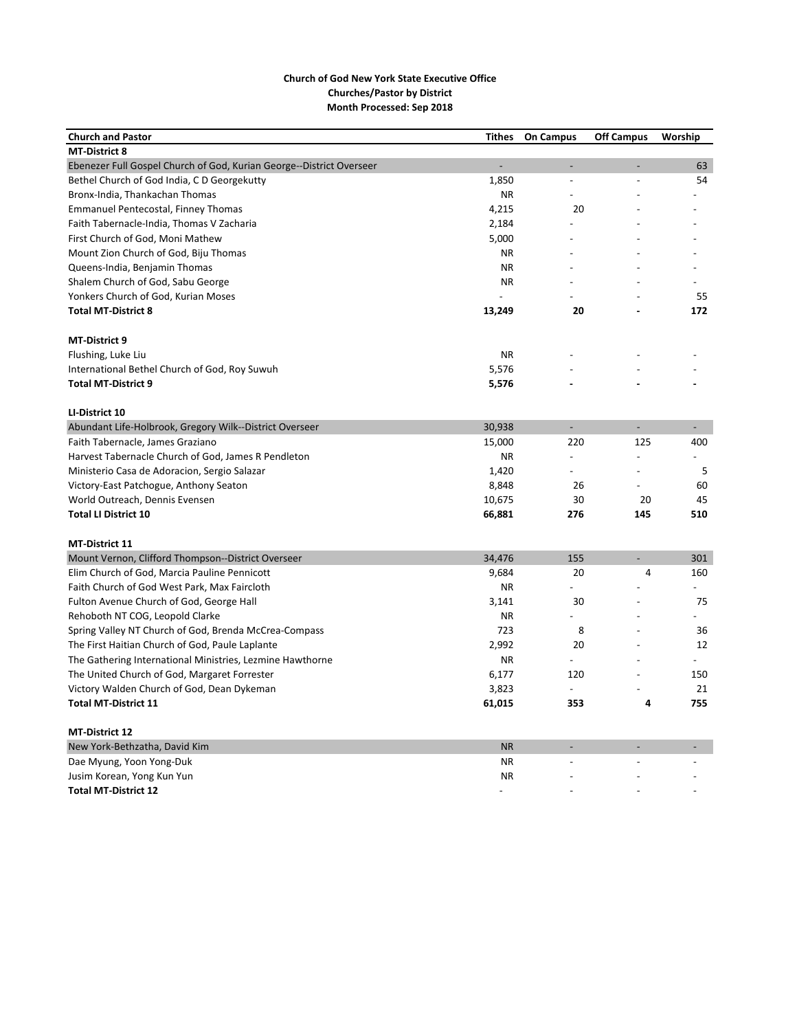| <b>Church and Pastor</b>                                             | <b>Tithes</b> | <b>On Campus</b> | <b>Off Campus</b> | Worship        |
|----------------------------------------------------------------------|---------------|------------------|-------------------|----------------|
| <b>MT-District 8</b>                                                 |               |                  |                   |                |
| Ebenezer Full Gospel Church of God, Kurian George--District Overseer |               |                  |                   | 63             |
| Bethel Church of God India, C D Georgekutty                          | 1,850         | $\overline{a}$   |                   | 54             |
| Bronx-India, Thankachan Thomas                                       | NR.           |                  |                   |                |
| <b>Emmanuel Pentecostal, Finney Thomas</b>                           | 4,215         | 20               |                   |                |
| Faith Tabernacle-India, Thomas V Zacharia                            | 2,184         |                  |                   |                |
| First Church of God, Moni Mathew                                     | 5,000         |                  |                   |                |
| Mount Zion Church of God, Biju Thomas                                | <b>NR</b>     |                  |                   |                |
| Queens-India, Benjamin Thomas                                        | <b>NR</b>     |                  |                   |                |
| Shalem Church of God, Sabu George                                    | <b>NR</b>     |                  |                   |                |
| Yonkers Church of God, Kurian Moses                                  |               |                  |                   | 55             |
| <b>Total MT-District 8</b>                                           | 13,249        | 20               |                   | 172            |
| <b>MT-District 9</b>                                                 |               |                  |                   |                |
| Flushing, Luke Liu                                                   | <b>NR</b>     |                  |                   |                |
| International Bethel Church of God, Roy Suwuh                        | 5,576         |                  |                   |                |
| <b>Total MT-District 9</b>                                           | 5,576         |                  |                   |                |
| LI-District 10                                                       |               |                  |                   |                |
| Abundant Life-Holbrook, Gregory Wilk--District Overseer              | 30,938        |                  |                   |                |
| Faith Tabernacle, James Graziano                                     | 15,000        | 220              | 125               | 400            |
| Harvest Tabernacle Church of God, James R Pendleton                  | <b>NR</b>     |                  |                   |                |
| Ministerio Casa de Adoracion, Sergio Salazar                         | 1,420         |                  |                   | 5              |
| Victory-East Patchogue, Anthony Seaton                               | 8,848         | 26               |                   | 60             |
| World Outreach, Dennis Evensen                                       | 10,675        | 30               | 20                | 45             |
| <b>Total LI District 10</b>                                          | 66,881        | 276              | 145               | 510            |
| MT-District 11                                                       |               |                  |                   |                |
| Mount Vernon, Clifford Thompson--District Overseer                   | 34,476        | 155              |                   | 301            |
| Elim Church of God, Marcia Pauline Pennicott                         | 9,684         | 20               | 4                 | 160            |
| Faith Church of God West Park, Max Faircloth                         | ΝR            |                  |                   |                |
| Fulton Avenue Church of God, George Hall                             | 3,141         | 30               |                   | 75             |
| Rehoboth NT COG, Leopold Clarke                                      | <b>NR</b>     |                  |                   |                |
| Spring Valley NT Church of God, Brenda McCrea-Compass                | 723           | 8                |                   | 36             |
| The First Haitian Church of God, Paule Laplante                      | 2,992         | 20               |                   | 12             |
| The Gathering International Ministries, Lezmine Hawthorne            | <b>NR</b>     |                  |                   | $\overline{a}$ |
| The United Church of God, Margaret Forrester                         | 6,177         | 120              |                   | 150            |
| Victory Walden Church of God, Dean Dykeman                           | 3,823         | $\overline{a}$   |                   | 21             |
| <b>Total MT-District 11</b>                                          | 61,015        | 353              | 4                 | 755            |
|                                                                      |               |                  |                   |                |
| <b>MT-District 12</b>                                                |               |                  |                   |                |
| New York-Bethzatha, David Kim                                        | <b>NR</b>     |                  |                   |                |
| Dae Myung, Yoon Yong-Duk                                             | <b>NR</b>     |                  |                   |                |
| Jusim Korean, Yong Kun Yun                                           | <b>NR</b>     |                  |                   |                |
| <b>Total MT-District 12</b>                                          |               |                  |                   |                |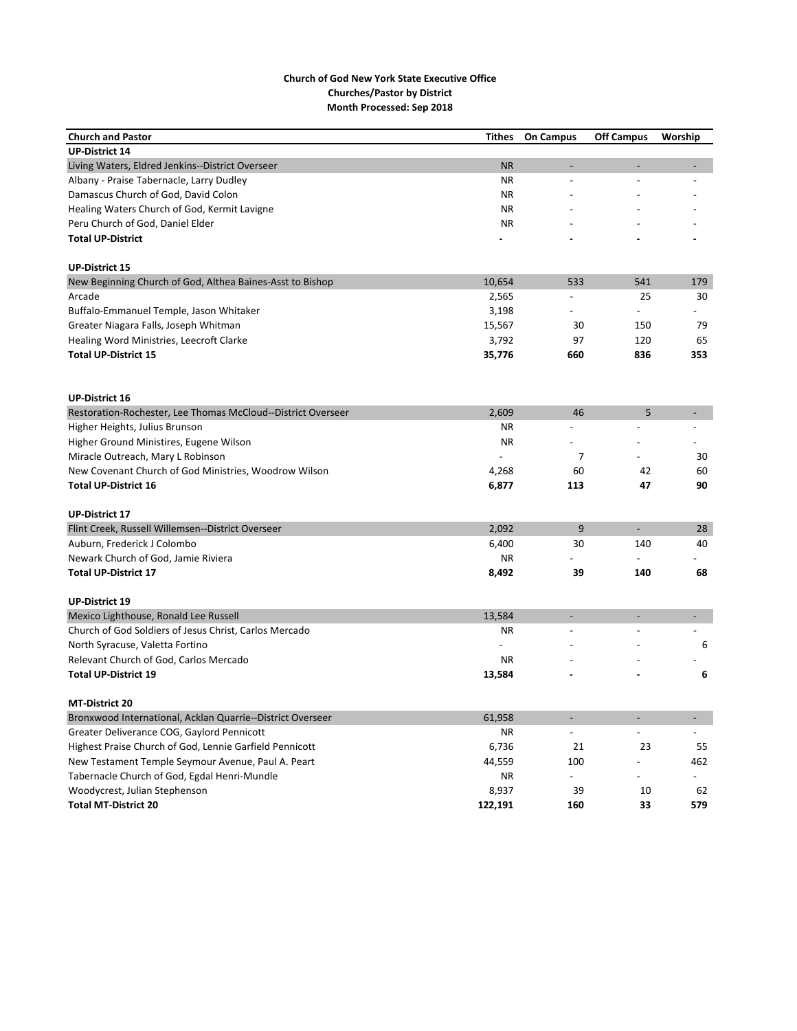| <b>Church and Pastor</b>                                     | Tithes    | <b>On Campus</b>             | <b>Off Campus</b>        | Worship                  |
|--------------------------------------------------------------|-----------|------------------------------|--------------------------|--------------------------|
| <b>UP-District 14</b>                                        |           |                              |                          |                          |
| Living Waters, Eldred Jenkins--District Overseer             | <b>NR</b> | $\overline{\phantom{a}}$     |                          |                          |
| Albany - Praise Tabernacle, Larry Dudley                     | <b>NR</b> | $\overline{a}$               |                          |                          |
| Damascus Church of God, David Colon                          | ΝR        |                              |                          |                          |
| Healing Waters Church of God, Kermit Lavigne                 | ΝR        |                              |                          |                          |
| Peru Church of God, Daniel Elder                             | <b>NR</b> |                              |                          |                          |
| <b>Total UP-District</b>                                     |           |                              |                          |                          |
| <b>UP-District 15</b>                                        |           |                              |                          |                          |
| New Beginning Church of God, Althea Baines-Asst to Bishop    | 10,654    | 533                          | 541                      | 179                      |
| Arcade                                                       | 2,565     |                              | 25                       | 30                       |
| Buffalo-Emmanuel Temple, Jason Whitaker                      | 3,198     |                              |                          |                          |
| Greater Niagara Falls, Joseph Whitman                        | 15,567    | 30                           | 150                      | 79                       |
| Healing Word Ministries, Leecroft Clarke                     | 3,792     | 97                           | 120                      | 65                       |
| <b>Total UP-District 15</b>                                  | 35,776    | 660                          | 836                      | 353                      |
|                                                              |           |                              |                          |                          |
| <b>UP-District 16</b>                                        |           |                              |                          |                          |
| Restoration-Rochester, Lee Thomas McCloud--District Overseer | 2,609     | 46                           | 5                        |                          |
| Higher Heights, Julius Brunson                               | ΝR        |                              |                          |                          |
| Higher Ground Ministires, Eugene Wilson                      | <b>NR</b> |                              |                          |                          |
| Miracle Outreach, Mary L Robinson                            |           | 7                            |                          | 30                       |
| New Covenant Church of God Ministries, Woodrow Wilson        | 4,268     | 60                           | 42                       | 60                       |
| <b>Total UP-District 16</b>                                  |           | 113                          | 47                       | 90                       |
|                                                              | 6,877     |                              |                          |                          |
| <b>UP-District 17</b>                                        |           |                              |                          |                          |
| Flint Creek, Russell Willemsen--District Overseer            | 2,092     | 9                            | $\overline{\phantom{a}}$ | 28                       |
| Auburn, Frederick J Colombo                                  | 6,400     | 30                           | 140                      | 40                       |
| Newark Church of God, Jamie Riviera                          | ΝR        |                              |                          |                          |
| <b>Total UP-District 17</b>                                  | 8,492     | 39                           | 140                      | 68                       |
| <b>UP-District 19</b>                                        |           |                              |                          |                          |
| Mexico Lighthouse, Ronald Lee Russell                        | 13,584    | $\overline{\phantom{a}}$     |                          |                          |
| Church of God Soldiers of Jesus Christ, Carlos Mercado       | ΝR        |                              |                          |                          |
| North Syracuse, Valetta Fortino                              |           |                              |                          | 6                        |
| Relevant Church of God, Carlos Mercado                       | ΝR        |                              |                          |                          |
| <b>Total UP-District 19</b>                                  | 13,584    |                              |                          | 6                        |
| MT-District 20                                               |           |                              |                          |                          |
| Bronxwood International, Acklan Quarrie--District Overseer   | 61,958    | $\qquad \qquad \blacksquare$ |                          | $\overline{\phantom{a}}$ |
| Greater Deliverance COG, Gaylord Pennicott                   | ΝR        | $\overline{\phantom{a}}$     | $\frac{1}{2}$            |                          |
| Highest Praise Church of God, Lennie Garfield Pennicott      | 6,736     | 21                           | 23                       | 55                       |
| New Testament Temple Seymour Avenue, Paul A. Peart           | 44,559    | 100                          |                          | 462                      |
| Tabernacle Church of God, Egdal Henri-Mundle                 | ΝR        | $\overline{\phantom{a}}$     | $\overline{a}$           |                          |
| Woodycrest, Julian Stephenson                                | 8,937     | 39                           | 10                       | 62                       |
| <b>Total MT-District 20</b>                                  | 122,191   | 160                          | 33                       | 579                      |